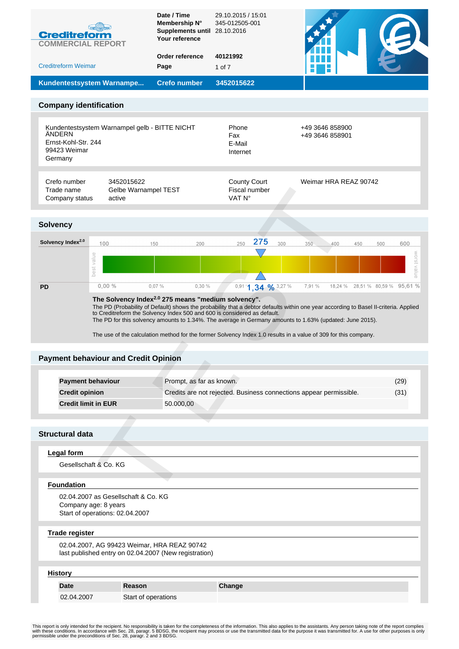| <b>Creditreform</b><br><b>COMMERCIAL REPORT</b>          |                                                                        | Membership N°<br><b>Supplements until</b><br>Your reference                                          | 345-012505-001<br>28.10.2016                                       |                                                                                                                                                                                                                                    |                         |
|----------------------------------------------------------|------------------------------------------------------------------------|------------------------------------------------------------------------------------------------------|--------------------------------------------------------------------|------------------------------------------------------------------------------------------------------------------------------------------------------------------------------------------------------------------------------------|-------------------------|
| <b>Creditreform Weimar</b>                               |                                                                        | Order reference<br>Page                                                                              | 40121992<br>$1$ of $7$                                             |                                                                                                                                                                                                                                    |                         |
|                                                          | Kundentestsystem Warnampe                                              | <b>Crefo number</b>                                                                                  | 3452015622                                                         |                                                                                                                                                                                                                                    |                         |
| <b>Company identification</b>                            |                                                                        |                                                                                                      |                                                                    |                                                                                                                                                                                                                                    |                         |
|                                                          |                                                                        |                                                                                                      |                                                                    |                                                                                                                                                                                                                                    |                         |
| ÄNDERN<br>Ernst-Kohl-Str. 244<br>99423 Weimar<br>Germany | Kundentestsystem Warnampel gelb - BITTE NICHT                          |                                                                                                      | Phone<br>Fax<br>E-Mail<br>Internet                                 | +49 3646 858900<br>+49 3646 858901                                                                                                                                                                                                 |                         |
| Crefo number<br>Trade name<br>Company status             | 3452015622<br>Gelbe Warnampel TEST<br>active                           |                                                                                                      | <b>County Court</b><br>Fiscal number<br>VAT N°                     | Weimar HRA REAZ 90742                                                                                                                                                                                                              |                         |
| <b>Solvency</b>                                          |                                                                        |                                                                                                      |                                                                    |                                                                                                                                                                                                                                    |                         |
| Solvency Index <sup>2.0</sup>                            | 100                                                                    | 150<br>200                                                                                           | 275<br>300<br>250                                                  | 350<br>500<br>400<br>450                                                                                                                                                                                                           | 600                     |
|                                                          | best value                                                             |                                                                                                      |                                                                    |                                                                                                                                                                                                                                    | worst value             |
|                                                          |                                                                        |                                                                                                      |                                                                    |                                                                                                                                                                                                                                    |                         |
| <b>PD</b>                                                | $0,00\%$                                                               | 0,07%<br>0,30 %<br>The Solvency Index <sup>2.0</sup> 275 means "medium solvency".                    | 0,91 '1, 34 % 3,27 %                                               | 7,91 %<br>18,24 %<br>The PD (Probability of Default) shows the probability that a debtor defaults within one year according to Basel II-criteria. Applied to Creditreform the Solvency Index 500 and 600 is considered as default. |                         |
|                                                          | <b>Payment behaviour and Credit Opinion</b>                            |                                                                                                      |                                                                    | The PD for this solvency amounts to 1.34%. The average in Germany amounts to 1.63% (updated: June 2015).<br>The use of the calculation method for the former Solvency Index 1.0 results in a value of 309 for this company.        |                         |
| <b>Payment behaviour</b>                                 |                                                                        | Prompt, as far as known.                                                                             |                                                                    |                                                                                                                                                                                                                                    | (29)                    |
| <b>Credit opinion</b>                                    |                                                                        |                                                                                                      | Credits are not rejected. Business connections appear permissible. |                                                                                                                                                                                                                                    | (31)                    |
| <b>Credit limit in EUR</b>                               |                                                                        | 50.000,00                                                                                            |                                                                    |                                                                                                                                                                                                                                    |                         |
| <b>Structural data</b>                                   |                                                                        |                                                                                                      |                                                                    |                                                                                                                                                                                                                                    |                         |
| <b>Legal form</b>                                        |                                                                        |                                                                                                      |                                                                    |                                                                                                                                                                                                                                    |                         |
| Gesellschaft & Co. KG                                    |                                                                        |                                                                                                      |                                                                    |                                                                                                                                                                                                                                    |                         |
| <b>Foundation</b>                                        |                                                                        |                                                                                                      |                                                                    |                                                                                                                                                                                                                                    |                         |
| Company age: 8 years                                     | 02.04.2007 as Gesellschaft & Co. KG<br>Start of operations: 02.04.2007 |                                                                                                      |                                                                    |                                                                                                                                                                                                                                    |                         |
| <b>Trade register</b>                                    |                                                                        | 02.04.2007, AG 99423 Weimar, HRA REAZ 90742<br>last published entry on 02.04.2007 (New registration) |                                                                    |                                                                                                                                                                                                                                    |                         |
| <b>History</b>                                           |                                                                        |                                                                                                      |                                                                    |                                                                                                                                                                                                                                    |                         |
| <b>Date</b>                                              | Reason                                                                 |                                                                                                      | Change                                                             |                                                                                                                                                                                                                                    | 28,51 % 80,59 % 95,61 % |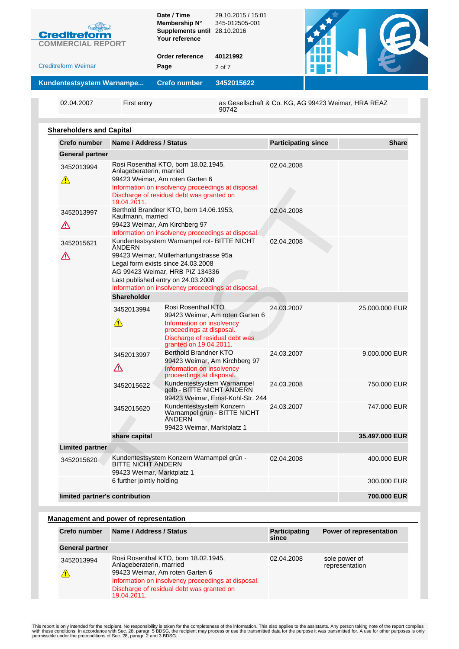| <b>Creditreform</b><br><b>COMMERCIAL REPORT</b> |             | Date / Time<br>Membership N°<br>Supplements until 28.10.2016<br>Your reference | 29.10.2015 / 15:01<br>345-012505-001                |  |
|-------------------------------------------------|-------------|--------------------------------------------------------------------------------|-----------------------------------------------------|--|
| <b>Creditreform Weimar</b>                      |             | Order reference<br>Page                                                        | 40121992<br>2 of 7                                  |  |
| Kundentestsystem Warnampe                       |             | <b>Crefo number</b>                                                            | 3452015622                                          |  |
| 02.04.2007                                      | First entry |                                                                                | as Gesellschaft & Co. KG, AG 99423 Weimar, HRA REAZ |  |

90742

**Shareholders and Capital**

| <b>Crefo number</b>                       | Name / Address / Status                          |                                                                                                                                                                                                                                                            | <b>Participating since</b> | <b>Share</b>   |
|-------------------------------------------|--------------------------------------------------|------------------------------------------------------------------------------------------------------------------------------------------------------------------------------------------------------------------------------------------------------------|----------------------------|----------------|
| General partner                           |                                                  |                                                                                                                                                                                                                                                            |                            |                |
| 3452013994<br>$\sqrt{2}$                  | Anlageberaterin, married<br>19.04.2011.          | Rosi Rosenthal KTO, born 18.02.1945,<br>99423 Weimar, Am roten Garten 6<br>Information on insolvency proceedings at disposal.<br>Discharge of residual debt was granted on                                                                                 | 02.04.2008                 |                |
| 3452013997<br>$\boldsymbol{\vartriangle}$ | Kaufmann, married                                | Berthold Brandner KTO, born 14.06.1953,<br>99423 Weimar, Am Kirchberg 97<br>Information on insolvency proceedings at disposal.                                                                                                                             | 02.04.2008                 |                |
| 3452015621<br>Λ                           | ANDERN<br>Shareholder                            | Kundentestsystem Warnampel rot- BITTE NICHT<br>99423 Weimar, Müllerhartungstrasse 95a<br>Legal form exists since 24.03.2008<br>AG 99423 Weimar, HRB PIZ 134336<br>Last published entry on 24.03.2008<br>Information on insolvency proceedings at disposal. | 02.04.2008                 |                |
|                                           | 3452013994<br>$\sqrt{2}$                         | Rosi Rosenthal KTO<br>99423 Weimar, Am roten Garten 6<br>Information on insolvency<br>proceedings at disposal.<br>Discharge of residual debt was<br>granted on 19.04.2011.                                                                                 | 24.03.2007                 | 25.000.000 EUR |
|                                           | 3452013997<br>$\Delta$                           | <b>Berthold Brandner KTO</b><br>99423 Weimar, Am Kirchberg 97<br>Information on insolvency<br>proceedings at disposal.                                                                                                                                     | 24.03.2007                 | 9.000.000 EUR  |
|                                           | 3452015622                                       | Kundentestsystem Warnampel<br>gelb - BITTE NICHT ÄNDERN<br>99423 Weimar, Ernst-Kohl-Str. 244                                                                                                                                                               | 24.03.2008                 | 750.000 EUR    |
|                                           | 3452015620                                       | Kundentestsystem Konzern<br>Warnampel grün - BITTE NICHT<br>ANDERN<br>99423 Weimar, Marktplatz 1                                                                                                                                                           | 24.03.2007                 | 747.000 EUR    |
|                                           | share capital                                    |                                                                                                                                                                                                                                                            |                            | 35.497.000 EUR |
| <b>Limited partner</b>                    |                                                  |                                                                                                                                                                                                                                                            |                            |                |
| 3452015620                                | BITTE NICHT ÄNDERN<br>99423 Weimar, Marktplatz 1 | Kundentestsystem Konzern Warnampel grün -                                                                                                                                                                                                                  | 02.04.2008                 | 400,000 EUR    |
|                                           | 6 further jointly holding                        |                                                                                                                                                                                                                                                            |                            | 300.000 EUR    |
| limited partner's contribution            |                                                  |                                                                                                                                                                                                                                                            |                            | 700.000 EUR    |

#### **Management and power of representation**

| <b>Crefo number</b>    | Name / Address / Status                                                                                                                                                                                               | <b>Participating</b><br>since | <b>Power of representation</b>  |
|------------------------|-----------------------------------------------------------------------------------------------------------------------------------------------------------------------------------------------------------------------|-------------------------------|---------------------------------|
| <b>General partner</b> |                                                                                                                                                                                                                       |                               |                                 |
| 3452013994             | Rosi Rosenthal KTO, born 18.02.1945,<br>Anlageberaterin, married<br>99423 Weimar, Am roten Garten 6<br>Information on insolvency proceedings at disposal.<br>Discharge of residual debt was granted on<br>19.04.2011. | 02.04.2008                    | sole power of<br>representation |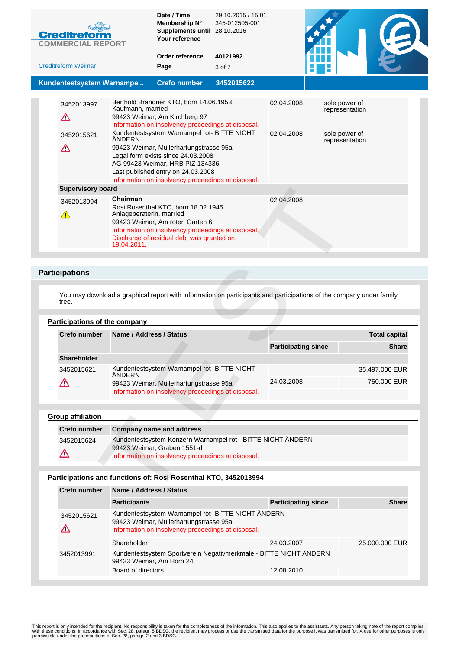| <b>Creditreform</b><br><b>COMMERCIAL REPORT</b> |                                                     | Date / Time<br>Membership N°<br>Supplements until 28.10.2016<br>Your reference                                                                                                                                                                                                                                                                                                               | 29.10.2015 / 15:01<br>345-012505-001 |                          |                                                                    |  |
|-------------------------------------------------|-----------------------------------------------------|----------------------------------------------------------------------------------------------------------------------------------------------------------------------------------------------------------------------------------------------------------------------------------------------------------------------------------------------------------------------------------------------|--------------------------------------|--------------------------|--------------------------------------------------------------------|--|
| <b>Creditreform Weimar</b>                      |                                                     | Order reference<br>Page                                                                                                                                                                                                                                                                                                                                                                      | 40121992                             |                          |                                                                    |  |
|                                                 |                                                     |                                                                                                                                                                                                                                                                                                                                                                                              | 3 of 7                               |                          |                                                                    |  |
| Kundentestsystem Warnampe                       |                                                     | <b>Crefo number</b>                                                                                                                                                                                                                                                                                                                                                                          | 3452015622                           |                          |                                                                    |  |
| 3452013997<br>Λ<br>3452015621<br>$\Delta$       | Kaufmann, married<br><b>ÄNDERN</b>                  | Berthold Brandner KTO, born 14.06.1953,<br>99423 Weimar, Am Kirchberg 97<br>Information on insolvency proceedings at disposal.<br>Kundentestsystem Warnampel rot- BITTE NICHT<br>99423 Weimar, Müllerhartungstrasse 95a<br>Legal form exists since 24.03.2008<br>AG 99423 Weimar, HRB PIZ 134336<br>Last published entry on 24.03.2008<br>Information on insolvency proceedings at disposal. |                                      | 02.04.2008<br>02.04.2008 | sole power of<br>representation<br>sole power of<br>representation |  |
| <b>Supervisory board</b>                        |                                                     |                                                                                                                                                                                                                                                                                                                                                                                              |                                      |                          |                                                                    |  |
| 3452013994<br>A                                 | Chairman<br>Anlageberaterin, married<br>19.04.2011. | Rosi Rosenthal KTO, born 18.02.1945,<br>99423 Weimar, Am roten Garten 6<br>Information on insolvency proceedings at disposal.<br>Discharge of residual debt was granted on                                                                                                                                                                                                                   |                                      | 02.04.2008               |                                                                    |  |

## **Participations**

# **Participations of the company**

| <b>Supervisory board</b>     |                                                                                                                                                                                                                                   |                            |                      |  |
|------------------------------|-----------------------------------------------------------------------------------------------------------------------------------------------------------------------------------------------------------------------------------|----------------------------|----------------------|--|
| 3452013994<br>$\sqrt{2}$     | Chairman<br>Rosi Rosenthal KTO, born 18.02.1945,<br>Anlageberaterin, married<br>99423 Weimar, Am roten Garten 6<br>Information on insolvency proceedings at disposal.<br>Discharge of residual debt was granted on<br>19.04.2011. | 02.04.2008                 |                      |  |
|                              |                                                                                                                                                                                                                                   |                            |                      |  |
| ticipations                  |                                                                                                                                                                                                                                   |                            |                      |  |
| tree.                        | You may download a graphical report with information on participants and participations of the company under family                                                                                                               |                            |                      |  |
| articipations of the company |                                                                                                                                                                                                                                   |                            |                      |  |
| Crefo number                 | Name / Address / Status                                                                                                                                                                                                           |                            | <b>Total capital</b> |  |
|                              |                                                                                                                                                                                                                                   | <b>Participating since</b> | <b>Share</b>         |  |
| Shareholder                  |                                                                                                                                                                                                                                   |                            |                      |  |
| 3452015621                   | Kundentestsystem Warnampel rot- BITTE NICHT<br>ÄNDERN                                                                                                                                                                             |                            | 35.497.000 EUR       |  |
| $\Delta$                     | 99423 Weimar, Müllerhartungstrasse 95a<br>Information on insolvency proceedings at disposal.                                                                                                                                      | 24.03.2008                 | 750,000 EUR          |  |
| roup affiliation             |                                                                                                                                                                                                                                   |                            |                      |  |
| Crefo number                 | <b>Company name and address</b>                                                                                                                                                                                                   |                            |                      |  |
| 3452015624                   | Kundentestsystem Konzern Warnampel rot - BITTE NICHT ÄNDERN<br>99423 Weimar, Graben 1551-d                                                                                                                                        |                            |                      |  |
| $\boldsymbol{\vartriangle}$  | Information on insolvency proceedings at disposal.                                                                                                                                                                                |                            |                      |  |
|                              | articipations and functions of: Rosi Rosenthal KTO, 3452013994                                                                                                                                                                    |                            |                      |  |
| Crefo number                 | Name / Address / Status                                                                                                                                                                                                           |                            |                      |  |
|                              |                                                                                                                                                                                                                                   |                            |                      |  |

## **Group affiliation**

| <b>Crefo number</b> | Company name and address                                                                                                                         |
|---------------------|--------------------------------------------------------------------------------------------------------------------------------------------------|
| 3452015624          | Kundentestsystem Konzern Warnampel rot - BITTE NICHT ÄNDERN<br>99423 Weimar, Graben 1551-d<br>Information on insolvency proceedings at disposal. |

# **Participations and functions of: Rosi Rosenthal KTO, 3452013994**

| <b>Crefo number</b> | Name / Address / Status                                                                                                                            |                            |                |  |  |
|---------------------|----------------------------------------------------------------------------------------------------------------------------------------------------|----------------------------|----------------|--|--|
|                     | <b>Participants</b>                                                                                                                                | <b>Participating since</b> | <b>Share</b>   |  |  |
| 3452015621          | Kundentestsystem Warnampel rot- BITTE NICHT ÄNDERN<br>99423 Weimar, Müllerhartungstrasse 95a<br>Information on insolvency proceedings at disposal. |                            |                |  |  |
|                     | Shareholder                                                                                                                                        | 24.03.2007                 | 25,000,000 EUR |  |  |
| 3452013991          | Kundentestsystem Sportverein Negativmerkmale - BITTE NICHT ÄNDERN<br>99423 Weimar, Am Horn 24                                                      |                            |                |  |  |
|                     | Board of directors                                                                                                                                 | 12.08.2010                 |                |  |  |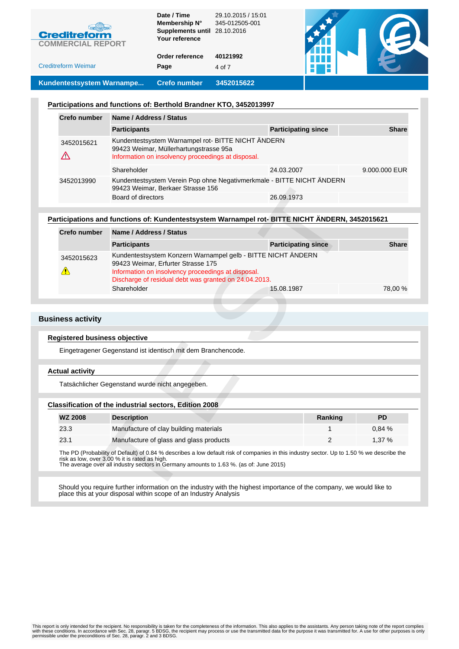| Kundentestsystem Warnampe  | <b>Crefo number</b>                                          | 3452015622                           |  |
|----------------------------|--------------------------------------------------------------|--------------------------------------|--|
| <b>Creditreform Weimar</b> | Page                                                         | 4 of 7                               |  |
|                            | Order reference                                              | 40121992                             |  |
| <b>COMMERCIAL REPORT</b>   | Your reference                                               |                                      |  |
| <b>Creditreform</b>        | Date / Time<br>Membership N°<br>Supplements until 28.10.2016 | 29.10.2015 / 15:01<br>345-012505-001 |  |

#### **Participations and functions of: Berthold Brandner KTO, 3452013997**

| <b>Crefo number</b> | Name / Address / Status                                                                                                                            |                            |               |  |  |
|---------------------|----------------------------------------------------------------------------------------------------------------------------------------------------|----------------------------|---------------|--|--|
|                     | <b>Participants</b>                                                                                                                                | <b>Participating since</b> | <b>Share</b>  |  |  |
| 3452015621          | Kundentestsystem Warnampel rot- BITTE NICHT ÄNDERN<br>99423 Weimar, Müllerhartungstrasse 95a<br>Information on insolvency proceedings at disposal. |                            |               |  |  |
|                     | Shareholder                                                                                                                                        | 24.03.2007                 | 9.000.000 EUR |  |  |
| 3452013990          | Kundentestsystem Verein Pop ohne Negativmerkmale - BITTE NICHT ÄNDERN<br>99423 Weimar, Berkaer Strasse 156                                         |                            |               |  |  |
|                     | Board of directors                                                                                                                                 | 26.09.1973                 |               |  |  |

### **Participations and functions of: Kundentestsystem Warnampel rot- BITTE NICHT ÄNDERN, 3452015621**

|                              | 99423 Weimar, Berkaer Strasse 156                                                                                                                                                                                                                                                    |            |                            |              |  |
|------------------------------|--------------------------------------------------------------------------------------------------------------------------------------------------------------------------------------------------------------------------------------------------------------------------------------|------------|----------------------------|--------------|--|
|                              | Board of directors                                                                                                                                                                                                                                                                   | 26.09.1973 |                            |              |  |
|                              |                                                                                                                                                                                                                                                                                      |            |                            |              |  |
|                              | articipations and functions of: Kundentestsystem Warnampel rot- BITTE NICHT ÄNDERN, 3452015621                                                                                                                                                                                       |            |                            |              |  |
| Crefo number                 | Name / Address / Status                                                                                                                                                                                                                                                              |            |                            |              |  |
|                              | <b>Participants</b>                                                                                                                                                                                                                                                                  |            | <b>Participating since</b> | <b>Share</b> |  |
| 3452015623<br>$\sqrt{2}$     | Kundentestsystem Konzern Warnampel gelb - BITTE NICHT ÄNDERN<br>99423 Weimar, Erfurter Strasse 175<br>Information on insolvency proceedings at disposal.<br>Discharge of residual debt was granted on 24.04.2013.                                                                    |            |                            |              |  |
|                              | Shareholder                                                                                                                                                                                                                                                                          | 15.08.1987 |                            | 78,00 %      |  |
|                              |                                                                                                                                                                                                                                                                                      |            |                            |              |  |
|                              |                                                                                                                                                                                                                                                                                      |            |                            |              |  |
| iness activity               |                                                                                                                                                                                                                                                                                      |            |                            |              |  |
| egistered business objective |                                                                                                                                                                                                                                                                                      |            |                            |              |  |
|                              | Eingetragener Gegenstand ist identisch mit dem Branchencode.                                                                                                                                                                                                                         |            |                            |              |  |
|                              |                                                                                                                                                                                                                                                                                      |            |                            |              |  |
| ctual activity               |                                                                                                                                                                                                                                                                                      |            |                            |              |  |
|                              | Tatsächlicher Gegenstand wurde nicht angegeben.                                                                                                                                                                                                                                      |            |                            |              |  |
|                              |                                                                                                                                                                                                                                                                                      |            |                            |              |  |
|                              | lassification of the industrial sectors, Edition 2008                                                                                                                                                                                                                                |            |                            |              |  |
| <b>WZ 2008</b>               | <b>Description</b>                                                                                                                                                                                                                                                                   |            | Ranking                    | <b>PD</b>    |  |
| 23.3                         | Manufacture of clay building materials                                                                                                                                                                                                                                               |            | 1                          | 0,84%        |  |
| 23.1                         | Manufacture of glass and glass products                                                                                                                                                                                                                                              |            | 2                          | 1,37 %       |  |
|                              | The PD (Probability of Default) of 0.84 % describes a low default risk of companies in this industry sector. Up to 1.50 % we describe the<br>risk as low, over 3.00 % it is rated as high.<br>The average over all industry sectors in Germany amounts to 1.63 %. (as of: June 2015) |            |                            |              |  |
|                              | Should you require further information on the industry with the highest importance of the company, we would like to<br>place this at your disposal within scope of an Industry Analysis                                                                                              |            |                            |              |  |

### **Business activity**

### **Registered business objective**

#### **Actual activity**

### **Classification of the industrial sectors, Edition 2008**

| <b>WZ 2008</b> | <b>Description</b>                      | Ranking | PD    |
|----------------|-----------------------------------------|---------|-------|
| 23.3           | Manufacture of clay building materials  |         | 0.84% |
| 23.1           | Manufacture of glass and glass products |         | 1.37% |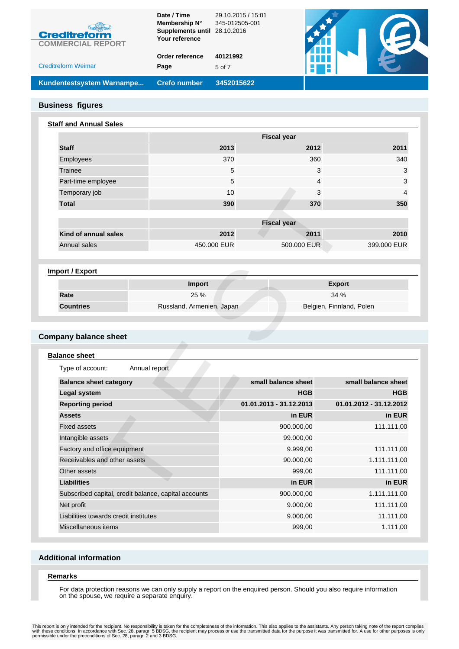| Kundentestsystem Warnampe  | <b>Crefo number</b>          | 3452015622                           |  |
|----------------------------|------------------------------|--------------------------------------|--|
| <b>Creditreform Weimar</b> | Page                         | 5 of 7                               |  |
|                            | Order reference              | 40121992                             |  |
| <b>COMMERCIAL REPORT</b>   | Your reference               |                                      |  |
| <b>Creditreform</b>        | Supplements until 28.10.2016 |                                      |  |
|                            | Date / Time<br>Membership N° | 29.10.2015 / 15:01<br>345-012505-001 |  |
|                            |                              |                                      |  |

### **Business figures**

### **Staff and Annual Sales**

|                      |                    | <b>Fiscal year</b> |             |  |  |
|----------------------|--------------------|--------------------|-------------|--|--|
| <b>Staff</b>         | 2013               | 2012               | 2011        |  |  |
| Employees            | 370                | 360                | 340         |  |  |
| Trainee              | 5                  | 3                  | 3           |  |  |
| Part-time employee   | 5                  | 4                  | 3           |  |  |
| Temporary job        | 10                 | 3                  | 4           |  |  |
| <b>Total</b>         | 390                | 370                | 350         |  |  |
|                      |                    |                    |             |  |  |
|                      | <b>Fiscal year</b> |                    |             |  |  |
| Kind of annual sales | 2012               | 2011               | 2010        |  |  |
| Annual sales         | 450,000 EUR        | 500,000 EUR        | 399,000 EUR |  |  |

# **Import / Export**

|                  | Import                    | <b>Export</b>            |
|------------------|---------------------------|--------------------------|
| Rate             | 25 %                      | 34%                      |
| <b>Countries</b> | Russland, Armenien, Japan | Belgien, Finnland, Polen |

# **Company balance sheet**

| Temporary job                         |                                                      | 10                      | 3<br>$\overline{4}$      |
|---------------------------------------|------------------------------------------------------|-------------------------|--------------------------|
| <b>Total</b>                          |                                                      | 390<br>370              | 350                      |
|                                       |                                                      |                         |                          |
|                                       |                                                      | <b>Fiscal year</b>      |                          |
| Kind of annual sales                  |                                                      | 2012<br>2011            | 2010                     |
| Annual sales                          | 450,000 EUR                                          | 500,000 EUR             | 399,000 EUR              |
|                                       |                                                      |                         |                          |
| Import / Export                       |                                                      |                         |                          |
|                                       | Import                                               |                         | <b>Export</b>            |
| Rate                                  | 25 %                                                 |                         | 34 %                     |
| <b>Countries</b>                      | Russland, Armenien, Japan                            |                         | Belgien, Finnland, Polen |
|                                       |                                                      |                         |                          |
|                                       |                                                      |                         |                          |
| ompany balance sheet                  |                                                      |                         |                          |
|                                       |                                                      |                         |                          |
| <b>Balance sheet</b>                  |                                                      |                         |                          |
| Type of account:                      | Annual report                                        |                         |                          |
| <b>Balance sheet category</b>         |                                                      | small balance sheet     | small balance sheet      |
| <b>Legal system</b>                   |                                                      | <b>HGB</b>              | <b>HGB</b>               |
| <b>Reporting period</b>               |                                                      | 01.01.2013 - 31.12.2013 | 01.01.2012 - 31.12.2012  |
| <b>Assets</b>                         |                                                      | in EUR                  | in EUR                   |
| <b>Fixed assets</b>                   |                                                      | 900.000,00              | 111.111,00               |
| Intangible assets                     |                                                      | 99.000,00               |                          |
| Factory and office equipment          |                                                      | 9.999,00                | 111.111,00               |
| Receivables and other assets          |                                                      | 90.000,00               | 1.111.111,00             |
| Other assets                          |                                                      | 999,00                  | 111.111,00               |
| <b>Liabilities</b>                    |                                                      | in EUR                  | in EUR                   |
|                                       | Subscribed capital, credit balance, capital accounts | 900.000,00              | 1.111.111,00             |
| Net profit                            |                                                      | 9.000,00                | 111.111,00               |
| Liabilities towards credit institutes |                                                      |                         |                          |
|                                       |                                                      | 9.000,00                | 11.111,00                |
| Miscellaneous items                   |                                                      | 999,00                  | 1.111,00                 |

# **Additional information**

#### **Remarks**

For data protection reasons we can only supply a report on the enquired person. Should you also require information on the spouse, we require a separate enquiry.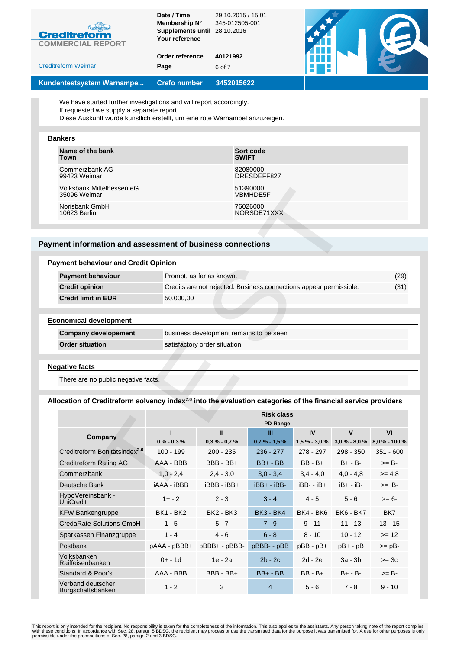| Kundentestsystem Warnampe                       | <b>Crefo number</b>                           | 3452015622         |  |
|-------------------------------------------------|-----------------------------------------------|--------------------|--|
| <b>Creditreform Weimar</b>                      | Page                                          | 6 of 7             |  |
|                                                 | Order reference                               | 40121992           |  |
| <b>Creditreform</b><br><b>COMMERCIAL REPORT</b> | Your reference                                |                    |  |
|                                                 | Membership N°<br>Supplements until 28.10.2016 | 345-012505-001     |  |
|                                                 | Date / Time                                   | 29.10.2015 / 15:01 |  |

We have started further investigations and will report accordingly.

If requested we supply a separate report.

Diese Auskunft wurde künstlich erstellt, um eine rote Warnampel anzuzeigen.

#### **Bankers**

| Name of the bank          | Sort code       |
|---------------------------|-----------------|
| Town                      | <b>SWIFT</b>    |
| Commerzbank AG            | 82080000        |
| 99423 Weimar              | DRESDEFF827     |
| Volksbank Mittelhessen eG | 51390000        |
| 35096 Weimar              | <b>VBMHDE5F</b> |
| Norisbank GmbH            | 76026000        |
| 10623 Berlin              | NORSDE71XXX     |

### **Payment information and assessment of business connections**

| Volksbank Mittelhessen eG<br>35096 Weimar                                                                                  |                    | 51390000<br>VBMHDE5F                                               |                               |                     |              |                                     |  |
|----------------------------------------------------------------------------------------------------------------------------|--------------------|--------------------------------------------------------------------|-------------------------------|---------------------|--------------|-------------------------------------|--|
| Norisbank GmbH<br>10623 Berlin                                                                                             |                    |                                                                    | 76026000<br>NORSDE71XXX       |                     |              |                                     |  |
|                                                                                                                            |                    |                                                                    |                               |                     |              |                                     |  |
| yment information and assessment of business connections                                                                   |                    |                                                                    |                               |                     |              |                                     |  |
|                                                                                                                            |                    |                                                                    |                               |                     |              |                                     |  |
| <b>Payment behaviour and Credit Opinion</b>                                                                                |                    |                                                                    |                               |                     |              |                                     |  |
| <b>Payment behaviour</b>                                                                                                   |                    | Prompt, as far as known.                                           |                               |                     |              | (29)                                |  |
| <b>Credit opinion</b>                                                                                                      |                    | Credits are not rejected. Business connections appear permissible. |                               |                     |              | (31)                                |  |
| <b>Credit limit in EUR</b>                                                                                                 | 50.000,00          |                                                                    |                               |                     |              |                                     |  |
|                                                                                                                            |                    |                                                                    |                               |                     |              |                                     |  |
| <b>Economical development</b>                                                                                              |                    |                                                                    |                               |                     |              |                                     |  |
| <b>Company developement</b>                                                                                                |                    | business development remains to be seen                            |                               |                     |              |                                     |  |
| <b>Order situation</b>                                                                                                     |                    | satisfactory order situation                                       |                               |                     |              |                                     |  |
|                                                                                                                            |                    |                                                                    |                               |                     |              |                                     |  |
| <b>Negative facts</b>                                                                                                      |                    |                                                                    |                               |                     |              |                                     |  |
| There are no public negative facts.                                                                                        |                    |                                                                    |                               |                     |              |                                     |  |
| Allocation of Creditreform solvency index <sup>2.0</sup> into the evaluation categories of the financial service providers |                    |                                                                    |                               |                     |              |                                     |  |
|                                                                                                                            |                    |                                                                    |                               |                     |              |                                     |  |
|                                                                                                                            |                    |                                                                    | <b>Risk class</b><br>PD-Range |                     |              |                                     |  |
| Company                                                                                                                    | $0\% - 0.3\%$      | $\mathbf{u}$<br>$0.3 % -0.7 %$                                     | Ш<br>$0.7 % - 1.5 %$          | IV<br>$1,5% - 3,0%$ | $\mathbf{V}$ | VI<br>$3.0\% - 8.0\%$ 8.0 % - 100 % |  |
| Creditreform Bonitätsindex <sup>2.0</sup>                                                                                  | $100 - 199$        | $200 - 235$                                                        | $236 - 277$                   | 278 - 297           | 298 - 350    | $351 - 600$                         |  |
| <b>Creditreform Rating AG</b>                                                                                              | AAA - BBB          | BBB - BB+                                                          | $BB+ - BB$                    | $BB - B +$          | $B+ - B-$    | $>= B -$                            |  |
| Commerzbank                                                                                                                | $1,0 - 2,4$        | $2,4 - 3,0$                                                        | $3,0 - 3,4$                   | $3,4 - 4,0$         | $4,0 - 4,8$  | $>= 4.8$                            |  |
| Deutsche Bank                                                                                                              | <b>iAAA - iBBB</b> | iBBB - iBB+                                                        | $iBB + -iBB -$                | $iBB - iB +$        | $iB+ - iB-$  | $>=$ iB-                            |  |
| HypoVereinsbank -                                                                                                          | $1 + - 2$          | $2 - 3$                                                            | $3 - 4$                       | $4 - 5$             | $5 - 6$      | $>= 6-$                             |  |

## **Allocation of Creditreform solvency index2.0 into the evaluation categories of the financial service providers**

|                                           | <b>Risk class</b><br>PD-Range |                  |                  |                  |                  |               |
|-------------------------------------------|-------------------------------|------------------|------------------|------------------|------------------|---------------|
| Company                                   |                               | $\mathbf{H}$     | Ш                | IV               | $\mathbf v$      | VI            |
|                                           | $0\% - 0.3\%$                 | $0,3% -0,7%$     | $0,7% - 1,5%$    | $1,5% - 3,0%$    | $3,0% - 8,0%$    | 8,0 % - 100 % |
| Creditreform Bonitätsindex <sup>2.0</sup> | $100 - 199$                   | $200 - 235$      | $236 - 277$      | $278 - 297$      | $298 - 350$      | $351 - 600$   |
| Creditreform Rating AG                    | AAA - BBB                     | BBB - BB+        | $BB+ - BB$       | $BB - B +$       | $B+ - B-$        | $>= B -$      |
| Commerzbank                               | $1.0 - 2.4$                   | $2,4 - 3,0$      | $3,0 - 3,4$      | $3,4 - 4,0$      | $4.0 - 4.8$      | $>= 4.8$      |
| Deutsche Bank                             | <b>iAAA - iBBB</b>            | iBBB - iBB+      | iBB+ - iBB-      | $iBB - iB +$     | $iB+ - iB-$      | $>=$ iB-      |
| HypoVereinsbank -<br><b>UniCredit</b>     | $1 + -2$                      | $2 - 3$          | $3 - 4$          | $4 - 5$          | $5 - 6$          | $>= 6-$       |
| <b>KFW Bankengruppe</b>                   | <b>BK1 - BK2</b>              | <b>BK2 - BK3</b> | <b>BK3 - BK4</b> | <b>BK4 - BK6</b> | <b>BK6 - BK7</b> | BK7           |
| CredaRate Solutions GmbH                  | $1 - 5$                       | $5 - 7$          | $7 - 9$          | $9 - 11$         | $11 - 13$        | $13 - 15$     |
| Sparkassen Finanzgruppe                   | $1 - 4$                       | $4 - 6$          | $6 - 8$          | $8 - 10$         | $10 - 12$        | $>= 12$       |
| Postbank                                  | pAAA - pBBB+                  | pBBB+ - pBBB-    | pBBB- - pBB      | $pBB - pB +$     | $pB+-pB$         | $>=$ $pB-$    |
| Volksbanken<br>Raiffeisenbanken           | $0 + - 1d$                    | $1e - 2a$        | $2b - 2c$        | $2d - 2e$        | $3a - 3b$        | $>=$ 3 $c$    |
| Standard & Poor's                         | AAA - BBB                     | BBB - BB+        | $BB + - BB$      | $BB - B +$       | $B+ - B-$        | $>= B -$      |
| Verband deutscher<br>Bürgschaftsbanken    | $1 - 2$                       | 3                | $\overline{4}$   | $5 - 6$          | $7 - 8$          | $9 - 10$      |